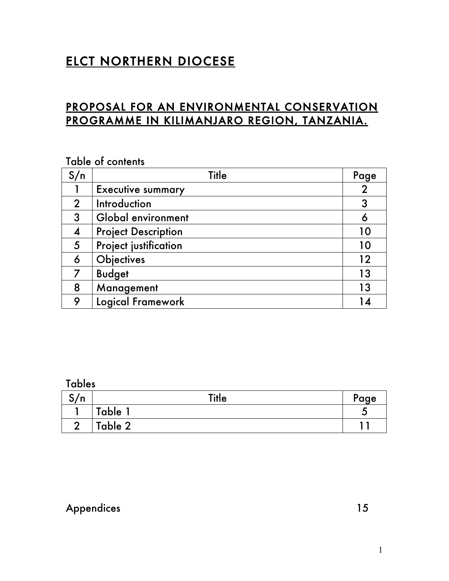# ELCT NORTHERN DIOCESE

# PROPOSAL FOR AN ENVIRONMENTAL CONSERVATION PROGRAMME IN KILIMANJARO REGION, TANZANIA.

# Table of contents

| S/n            | Title                        | Page         |
|----------------|------------------------------|--------------|
|                | <b>Executive summary</b>     | $\mathbf{2}$ |
| $\overline{2}$ | Introduction                 | 3            |
| 3              | <b>Global environment</b>    | 6            |
|                | <b>Project Description</b>   | 10           |
| $\overline{5}$ | <b>Project justification</b> | 10           |
| 6              | Objectives                   | 12           |
|                | <b>Budget</b>                | 13           |
| 8              | Management                   | 13           |
| 9              | Logical Framework            |              |

# Tables

| r 1<br>১/ n | Title   | Page |
|-------------|---------|------|
|             | Table   |      |
|             | Table 2 |      |

# Appendices and the contract of the contract of the contract of the contract of the contract of the contract of the contract of the contract of the contract of the contract of the contract of the contract of the contract of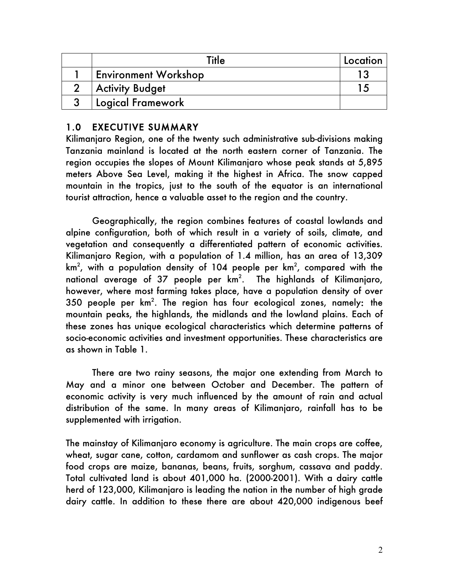|   | Title                       | Location |
|---|-----------------------------|----------|
|   | <b>Environment Workshop</b> |          |
|   | Activity Budget             |          |
| ? | <b>Logical Framework</b>    |          |

### 1.0 EXECUTIVE SUMMARY

Kilimanjaro Region, one of the twenty such administrative sub-divisions making Tanzania mainland is located at the north eastern corner of Tanzania. The region occupies the slopes of Mount Kilimanjaro whose peak stands at 5,895 meters Above Sea Level, making it the highest in Africa. The snow capped mountain in the tropics, just to the south of the equator is an international tourist attraction, hence a valuable asset to the region and the country.

 Geographically, the region combines features of coastal lowlands and alpine configuration, both of which result in a variety of soils, climate, and vegetation and consequently a differentiated pattern of economic activities. Kilimanjaro Region, with a population of 1.4 million, has an area of 13,309 km<sup>2</sup>, with a population density of 104 people per km<sup>2</sup>, compared with the national average of 37 people per  $km^2$ . The highlands of Kilimanjaro, however, where most farming takes place, have a population density of over 350 people per  $km^2$ . The region has four ecological zones, namely: the mountain peaks, the highlands, the midlands and the lowland plains. Each of these zones has unique ecological characteristics which determine patterns of socio-economic activities and investment opportunities. These characteristics are as shown in Table 1.

 There are two rainy seasons, the major one extending from March to May and a minor one between October and December. The pattern of economic activity is very much influenced by the amount of rain and actual distribution of the same. In many areas of Kilimanjaro, rainfall has to be supplemented with irrigation.

The mainstay of Kilimanjaro economy is agriculture. The main crops are coffee, wheat, sugar cane, cotton, cardamom and sunflower as cash crops. The major food crops are maize, bananas, beans, fruits, sorghum, cassava and paddy. Total cultivated land is about 401,000 ha. (2000-2001). With a dairy cattle herd of 123,000, Kilimanjaro is leading the nation in the number of high grade dairy cattle. In addition to these there are about 420,000 indigenous beef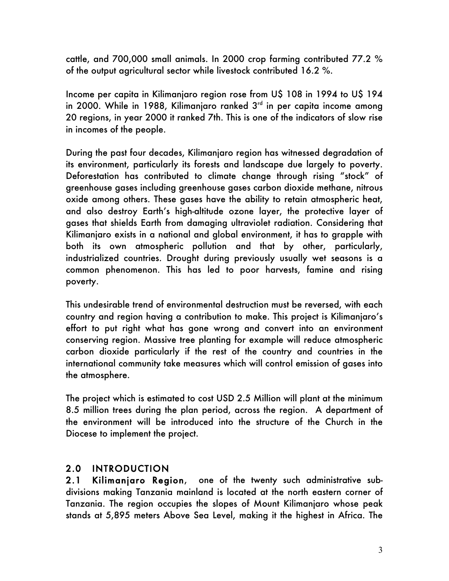cattle, and 700,000 small animals. In 2000 crop farming contributed 77.2 % of the output agricultural sector while livestock contributed 16.2 %.

Income per capita in Kilimanjaro region rose from U\$ 108 in 1994 to U\$ 194 in 2000. While in 1988, Kilimanjaro ranked  $3<sup>rd</sup>$  in per capita income among 20 regions, in year 2000 it ranked 7th. This is one of the indicators of slow rise in incomes of the people.

During the past four decades, Kilimanjaro region has witnessed degradation of its environment, particularly its forests and landscape due largely to poverty. Deforestation has contributed to climate change through rising "stock" of greenhouse gases including greenhouse gases carbon dioxide methane, nitrous oxide among others. These gases have the ability to retain atmospheric heat, and also destroy Earth's high-altitude ozone layer, the protective layer of gases that shields Earth from damaging ultraviolet radiation. Considering that Kilimanjaro exists in a national and global environment, it has to grapple with both its own atmospheric pollution and that by other, particularly, industrialized countries. Drought during previously usually wet seasons is a common phenomenon. This has led to poor harvests, famine and rising poverty.

This undesirable trend of environmental destruction must be reversed, with each country and region having a contribution to make. This project is Kilimanjaro's effort to put right what has gone wrong and convert into an environment conserving region. Massive tree planting for example will reduce atmospheric carbon dioxide particularly if the rest of the country and countries in the international community take measures which will control emission of gases into the atmosphere.

The project which is estimated to cost USD 2.5 Million will plant at the minimum 8.5 million trees during the plan period, across the region. A department of the environment will be introduced into the structure of the Church in the Diocese to implement the project.

### 2.0 INTRODUCTION

2.1 Kilimanjaro Region, one of the twenty such administrative subdivisions making Tanzania mainland is located at the north eastern corner of Tanzania. The region occupies the slopes of Mount Kilimanjaro whose peak stands at 5,895 meters Above Sea Level, making it the highest in Africa. The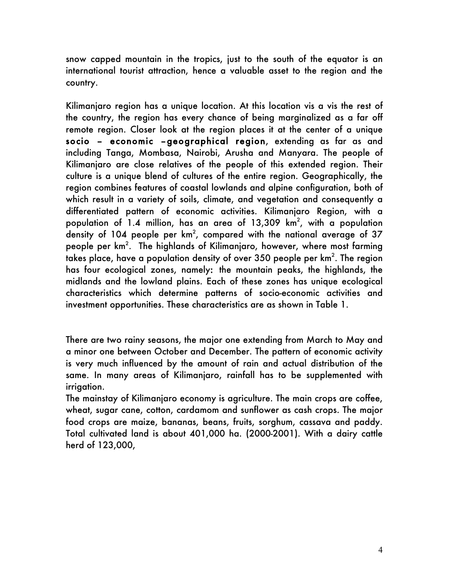snow capped mountain in the tropics, just to the south of the equator is an international tourist attraction, hence a valuable asset to the region and the country.

Kilimanjaro region has a unique location. At this location vis a vis the rest of the country, the region has every chance of being marginalized as a far off remote region. Closer look at the region places it at the center of a unique socio – economic –geographical region, extending as far as and including Tanga, Mombasa, Nairobi, Arusha and Manyara. The people of Kilimanjaro are close relatives of the people of this extended region. Their culture is a unique blend of cultures of the entire region. Geographically, the region combines features of coastal lowlands and alpine configuration, both of which result in a variety of soils, climate, and vegetation and consequently a differentiated pattern of economic activities. Kilimanjaro Region, with a population of 1.4 million, has an area of 13,309  $km^2$ , with a population density of 104 people per  $km^2$ , compared with the national average of 37 people per km<sup>2</sup>. The highlands of Kilimanjaro, however, where most farming takes place, have a population density of over 350 people per km². The region has four ecological zones, namely: the mountain peaks, the highlands, the midlands and the lowland plains. Each of these zones has unique ecological characteristics which determine patterns of socio-economic activities and investment opportunities. These characteristics are as shown in Table 1.

There are two rainy seasons, the major one extending from March to May and a minor one between October and December. The pattern of economic activity is very much influenced by the amount of rain and actual distribution of the same. In many areas of Kilimanjaro, rainfall has to be supplemented with irrigation.

The mainstay of Kilimanjaro economy is agriculture. The main crops are coffee, wheat, sugar cane, cotton, cardamom and sunflower as cash crops. The major food crops are maize, bananas, beans, fruits, sorghum, cassava and paddy. Total cultivated land is about 401,000 ha. (2000-2001). With a dairy cattle herd of 123,000,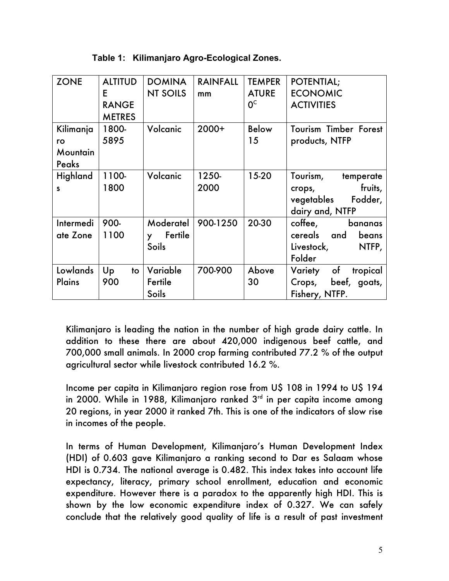|  |  | Table 1: Kilimanjaro Agro-Ecological Zones. |  |
|--|--|---------------------------------------------|--|
|--|--|---------------------------------------------|--|

| <b>ZONE</b>                          | <b>ALTITUD</b><br>E<br><b>RANGE</b><br><b>METRES</b> | <b>DOMINA</b><br><b>NT SOILS</b>          | <b>RAINFALL</b><br>mm | <b>TEMPER</b><br><b>ATURE</b><br>0 <sup>c</sup> | <b>POTENTIAL;</b><br><b>ECONOMIC</b><br><b>ACTIVITIES</b>                           |
|--------------------------------------|------------------------------------------------------|-------------------------------------------|-----------------------|-------------------------------------------------|-------------------------------------------------------------------------------------|
| Kilimanja<br>ro<br>Mountain<br>Peaks | 1800-<br>5895                                        | Volcanic                                  | $2000+$               | <b>Below</b><br>15                              | Tourism Timber Forest<br>products, NTFP                                             |
| Highland<br>S                        | 1100-<br>1800                                        | Volcanic                                  | 1250-<br>2000         | 15-20                                           | Tourism,<br>temperate<br>fruits,<br>crops,<br>vegetables Fodder,<br>dairy and, NTFP |
| Intermedi<br>ate Zone                | 900-<br>1100                                         | Moderatel<br>Fertile<br><b>y</b><br>Soils | 900-1250              | 20-30                                           | coffee,<br>bananas<br>cereals<br>and<br>beans<br>NTFP,<br>Livestock,<br>Folder      |
| Lowlands<br><b>Plains</b>            | Up<br>to<br>900                                      | Variable<br>Fertile<br>Soils              | 700-900               | Above<br>30                                     | $\circ$ f<br>tropical<br>Variety<br>beef, goats,<br>Crops,<br>Fishery, NTFP.        |

Kilimanjaro is leading the nation in the number of high grade dairy cattle. In addition to these there are about 420,000 indigenous beef cattle, and 700,000 small animals. In 2000 crop farming contributed 77.2 % of the output agricultural sector while livestock contributed 16.2 %.

Income per capita in Kilimanjaro region rose from U\$ 108 in 1994 to U\$ 194 in 2000. While in 1988, Kilimanjaro ranked  $3<sup>rd</sup>$  in per capita income among 20 regions, in year 2000 it ranked 7th. This is one of the indicators of slow rise in incomes of the people.

In terms of Human Development, Kilimanjaro's Human Development Index (HDI) of 0.603 gave Kilimanjaro a ranking second to Dar es Salaam whose HDI is 0.734. The national average is 0.482. This index takes into account life expectancy, literacy, primary school enrollment, education and economic expenditure. However there is a paradox to the apparently high HDI. This is shown by the low economic expenditure index of 0.327. We can safely conclude that the relatively good quality of life is a result of past investment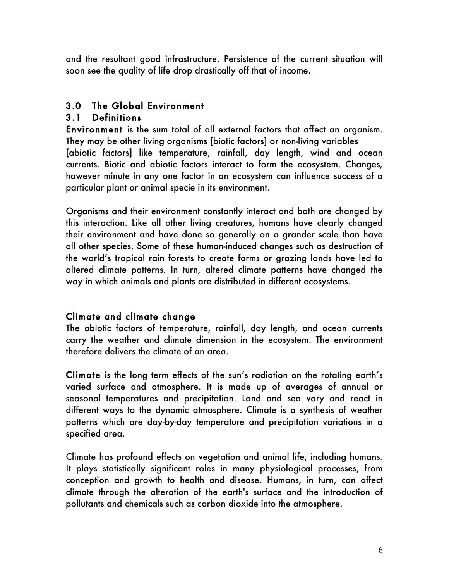and the resultant good infrastructure. Persistence of the current situation will soon see the quality of life drop drastically off that of income.

#### 3.0 The Global Environment

#### 3.1 Definitions

Environment is the sum total of all external factors that affect an organism. They may be other living organisms [biotic factors] or non-living variables [abiotic factors] like temperature, rainfall, day length, wind and ocean currents. Biotic and abiotic factors interact to form the ecosystem. Changes, however minute in any one factor in an ecosystem can influence success of a particular plant or animal specie in its environment.

Organisms and their environment constantly interact and both are changed by this interaction. Like all other living creatures, humans have clearly changed their environment and have done so generally on a grander scale than have all other species. Some of these human-induced changes such as destruction of the world's tropical rain forests to create farms or grazing lands have led to altered climate patterns. In turn, altered climate patterns have changed the way in which animals and plants are distributed in different ecosystems.

#### Climate and climate change

The abiotic factors of temperature, rainfall, day length, and ocean currents carry the weather and climate dimension in the ecosystem. The environment therefore delivers the climate of an area.

Climate is the long term effects of the sun's radiation on the rotating earth's varied surface and atmosphere. It is made up of averages of annual or seasonal temperatures and precipitation. Land and sea vary and react in different ways to the dynamic atmosphere. Climate is a synthesis of weather patterns which are day-by-day temperature and precipitation variations in a specified area.

Climate has profound effects on vegetation and animal life, including humans. It plays statistically significant roles in many physiological processes, from conception and growth to health and disease. Humans, in turn, can affect climate through the alteration of the earth's surface and the introduction of pollutants and chemicals such as carbon dioxide into the atmosphere.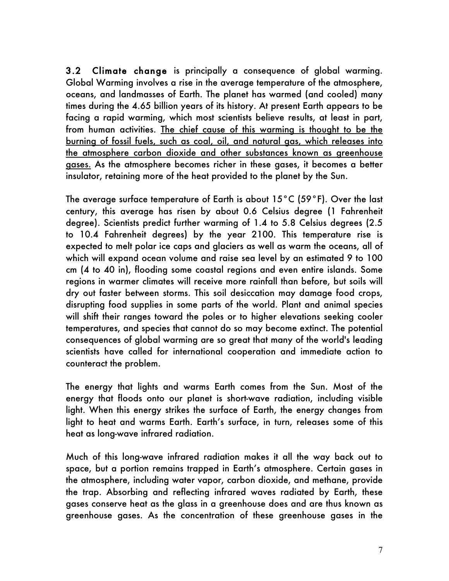3.2 Climate change is principally a consequence of global warming. Global Warming involves a rise in the average temperature of the atmosphere, oceans, and landmasses of Earth. The planet has warmed (and cooled) many times during the 4.65 billion years of its history. At present Earth appears to be facing a rapid warming, which most scientists believe results, at least in part, from human activities. The chief cause of this warming is thought to be the burning of fossil fuels, such as coal, oil, and natural gas, which releases into the atmosphere carbon dioxide and other substances known as greenhouse gases. As the atmosphere becomes richer in these gases, it becomes a better insulator, retaining more of the heat provided to the planet by the Sun.

The average surface temperature of Earth is about 15°C (59°F). Over the last century, this average has risen by about 0.6 Celsius degree (1 Fahrenheit degree). Scientists predict further warming of 1.4 to 5.8 Celsius degrees (2.5 to 10.4 Fahrenheit degrees) by the year 2100. This temperature rise is expected to melt polar ice caps and glaciers as well as warm the oceans, all of which will expand ocean volume and raise sea level by an estimated 9 to 100 cm (4 to 40 in), flooding some coastal regions and even entire islands. Some regions in warmer climates will receive more rainfall than before, but soils will dry out faster between storms. This soil desiccation may damage food crops, disrupting food supplies in some parts of the world. Plant and animal species will shift their ranges toward the poles or to higher elevations seeking cooler temperatures, and species that cannot do so may become extinct. The potential consequences of global warming are so great that many of the world's leading scientists have called for international cooperation and immediate action to counteract the problem.

The energy that lights and warms Earth comes from the Sun. Most of the energy that floods onto our planet is short-wave radiation, including visible light. When this energy strikes the surface of Earth, the energy changes from light to heat and warms Earth. Earth's surface, in turn, releases some of this heat as long-wave infrared radiation.

Much of this long-wave infrared radiation makes it all the way back out to space, but a portion remains trapped in Earth's atmosphere. Certain gases in the atmosphere, including water vapor, carbon dioxide, and methane, provide the trap. Absorbing and reflecting infrared waves radiated by Earth, these gases conserve heat as the glass in a greenhouse does and are thus known as greenhouse gases. As the concentration of these greenhouse gases in the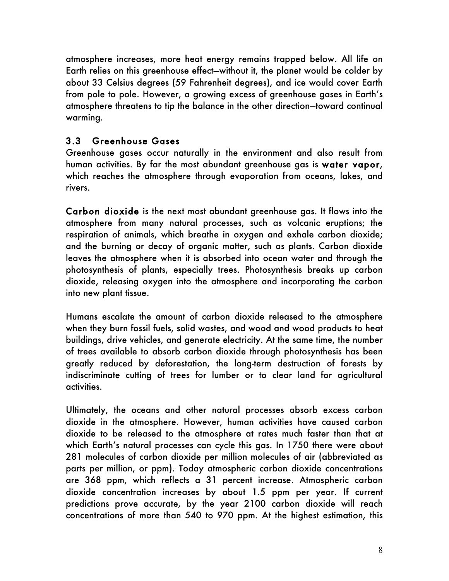atmosphere increases, more heat energy remains trapped below. All life on Earth relies on this greenhouse effect—without it, the planet would be colder by about 33 Celsius degrees (59 Fahrenheit degrees), and ice would cover Earth from pole to pole. However, a growing excess of greenhouse gases in Earth's atmosphere threatens to tip the balance in the other direction—toward continual warming.

### 3.3 Greenhouse Gases

Greenhouse gases occur naturally in the environment and also result from human activities. By far the most abundant greenhouse gas is water vapor, which reaches the atmosphere through evaporation from oceans, lakes, and rivers.

Carbon dioxide is the next most abundant greenhouse gas. It flows into the atmosphere from many natural processes, such as volcanic eruptions; the respiration of animals, which breathe in oxygen and exhale carbon dioxide; and the burning or decay of organic matter, such as plants. Carbon dioxide leaves the atmosphere when it is absorbed into ocean water and through the photosynthesis of plants, especially trees. Photosynthesis breaks up carbon dioxide, releasing oxygen into the atmosphere and incorporating the carbon into new plant tissue.

Humans escalate the amount of carbon dioxide released to the atmosphere when they burn fossil fuels, solid wastes, and wood and wood products to heat buildings, drive vehicles, and generate electricity. At the same time, the number of trees available to absorb carbon dioxide through photosynthesis has been greatly reduced by deforestation, the long-term destruction of forests by indiscriminate cutting of trees for lumber or to clear land for agricultural activities.

Ultimately, the oceans and other natural processes absorb excess carbon dioxide in the atmosphere. However, human activities have caused carbon dioxide to be released to the atmosphere at rates much faster than that at which Earth's natural processes can cycle this gas. In 1750 there were about 281 molecules of carbon dioxide per million molecules of air (abbreviated as parts per million, or ppm). Today atmospheric carbon dioxide concentrations are 368 ppm, which reflects a 31 percent increase. Atmospheric carbon dioxide concentration increases by about 1.5 ppm per year. If current predictions prove accurate, by the year 2100 carbon dioxide will reach concentrations of more than 540 to 970 ppm. At the highest estimation, this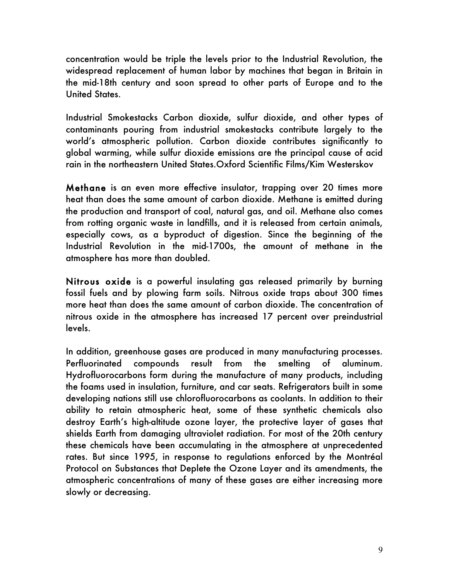concentration would be triple the levels prior to the Industrial Revolution, the widespread replacement of human labor by machines that began in Britain in the mid-18th century and soon spread to other parts of Europe and to the United States.

Industrial Smokestacks Carbon dioxide, sulfur dioxide, and other types of contaminants pouring from industrial smokestacks contribute largely to the world's atmospheric pollution. Carbon dioxide contributes significantly to global warming, while sulfur dioxide emissions are the principal cause of acid rain in the northeastern United States.Oxford Scientific Films/Kim Westerskov

Methane is an even more effective insulator, trapping over 20 times more heat than does the same amount of carbon dioxide. Methane is emitted during the production and transport of coal, natural gas, and oil. Methane also comes from rotting organic waste in landfills, and it is released from certain animals, especially cows, as a byproduct of digestion. Since the beginning of the Industrial Revolution in the mid-1700s, the amount of methane in the atmosphere has more than doubled.

Nitrous oxide is a powerful insulating gas released primarily by burning fossil fuels and by plowing farm soils. Nitrous oxide traps about 300 times more heat than does the same amount of carbon dioxide. The concentration of nitrous oxide in the atmosphere has increased 17 percent over preindustrial levels.

In addition, greenhouse gases are produced in many manufacturing processes. Perfluorinated compounds result from the smelting of aluminum. Hydrofluorocarbons form during the manufacture of many products, including the foams used in insulation, furniture, and car seats. Refrigerators built in some developing nations still use chlorofluorocarbons as coolants. In addition to their ability to retain atmospheric heat, some of these synthetic chemicals also destroy Earth's high-altitude ozone layer, the protective layer of gases that shields Earth from damaging ultraviolet radiation. For most of the 20th century these chemicals have been accumulating in the atmosphere at unprecedented rates. But since 1995, in response to regulations enforced by the Montréal Protocol on Substances that Deplete the Ozone Layer and its amendments, the atmospheric concentrations of many of these gases are either increasing more slowly or decreasing.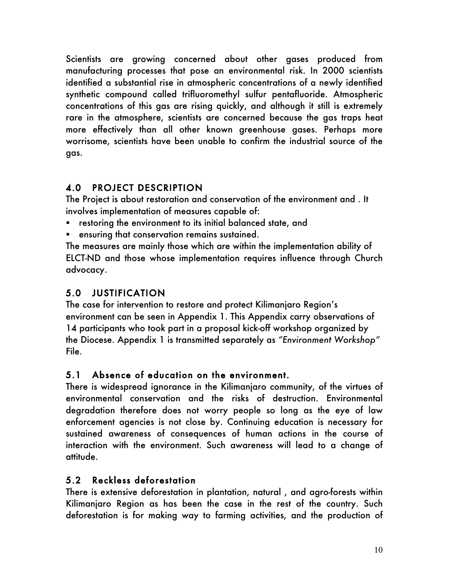Scientists are growing concerned about other gases produced from manufacturing processes that pose an environmental risk. In 2000 scientists identified a substantial rise in atmospheric concentrations of a newly identified synthetic compound called trifluoromethyl sulfur pentafluoride. Atmospheric concentrations of this gas are rising quickly, and although it still is extremely rare in the atmosphere, scientists are concerned because the gas traps heat more effectively than all other known greenhouse gases. Perhaps more worrisome, scientists have been unable to confirm the industrial source of the gas.

# 4.0 PROJECT DESCRIPTION

The Project is about restoration and conservation of the environment and . It involves implementation of measures capable of:

- **EXE** restoring the environment to its initial balanced state, and
- **EXE** ensuring that conservation remains sustained.

The measures are mainly those which are within the implementation ability of ELCT-ND and those whose implementation requires influence through Church advocacy.

# 5.0 JUSTIFICATION

The case for intervention to restore and protect Kilimanjaro Region's environment can be seen in Appendix 1. This Appendix carry observations of 14 participants who took part in a proposal kick-off workshop organized by the Diocese. Appendix 1 is transmitted separately as *"Environment Workshop"* File.

# 5.1 Absence of education on the environment.

There is widespread ignorance in the Kilimanjaro community, of the virtues of environmental conservation and the risks of destruction. Environmental degradation therefore does not worry people so long as the eye of law enforcement agencies is not close by. Continuing education is necessary for sustained awareness of consequences of human actions in the course of interaction with the environment. Such awareness will lead to a change of attitude.

# 5.2 Reckless deforestation

There is extensive deforestation in plantation, natural , and agro-forests within Kilimanjaro Region as has been the case in the rest of the country. Such deforestation is for making way to farming activities, and the production of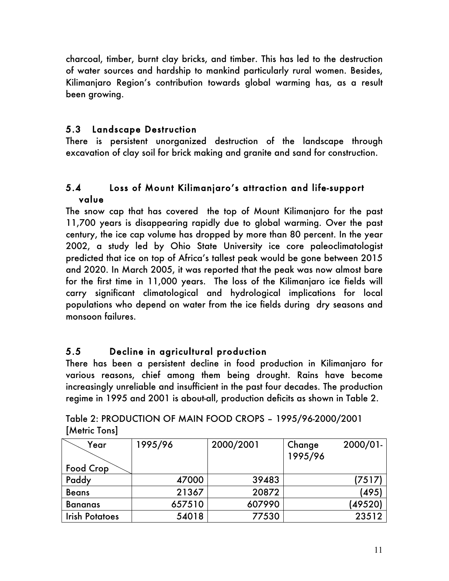charcoal, timber, burnt clay bricks, and timber. This has led to the destruction of water sources and hardship to mankind particularly rural women. Besides, Kilimanjaro Region's contribution towards global warming has, as a result been growing.

# 5.3 Landscape Destruction

There is persistent unorganized destruction of the landscape through excavation of clay soil for brick making and granite and sand for construction.

### 5.4 Loss of Mount Kilimanjaro's attraction and life-support value

The snow cap that has covered the top of Mount Kilimanjaro for the past 11,700 years is disappearing rapidly due to global warming. Over the past century, the ice cap volume has dropped by more than 80 percent. In the year 2002, a study led by Ohio State University ice core paleoclimatologist predicted that ice on top of Africa's tallest peak would be gone between 2015 and 2020. In March 2005, it was reported that the peak was now almost bare for the first time in 11,000 years. The loss of the Kilimanjaro ice fields will carry significant climatological and hydrological implications for local populations who depend on water from the ice fields during dry seasons and monsoon failures.

### 5.5 Decline in agricultural production

There has been a persistent decline in food production in Kilimanjaro for various reasons, chief among them being drought. Rains have become increasingly unreliable and insufficient in the past four decades. The production regime in 1995 and 2001 is about-all, production deficits as shown in Table 2.

| Year                  | 1995/96 | 2000/2001 | Change<br>1995/96 | 2000/01- |
|-----------------------|---------|-----------|-------------------|----------|
| Food Crop             |         |           |                   |          |
| Paddy                 | 47000   | 39483     |                   | (7517)   |
| <b>Beans</b>          | 21367   | 20872     |                   | (495)    |
| Bananas               | 657510  | 607990    |                   | (49520)  |
| <b>Irish Potatoes</b> | 54018   | 77530     |                   | 23512    |

Table 2: PRODUCTION OF MAIN FOOD CROPS – 1995/96-2000/2001 [Metric Tons]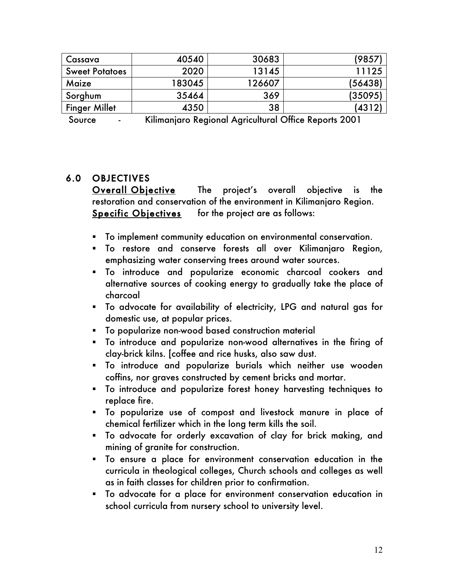| Cassava               | 40540  | 30683  | (9857)  |
|-----------------------|--------|--------|---------|
| <b>Sweet Potatoes</b> | 2020   | 13145  | 11125   |
| Maize                 | 183045 | 126607 | (56438) |
| Sorghum               | 35464  | 369    | (35095) |
| <b>Finger Millet</b>  | 4350   | 38     | (4312)  |

Source - Kilimanjaro Regional Agricultural Office Reports 2001

### 6.0 OBJECTIVES

Overall Objective The project's overall objective is the restoration and conservation of the environment in Kilimanjaro Region. Specific Objectives for the project are as follows:

- ! To implement community education on environmental conservation.
- ! To restore and conserve forests all over Kilimanjaro Region, emphasizing water conserving trees around water sources.
- ! To introduce and popularize economic charcoal cookers and alternative sources of cooking energy to gradually take the place of charcoal
- ! To advocate for availability of electricity, LPG and natural gas for domestic use, at popular prices.
- ! To popularize non-wood based construction material
- ! To introduce and popularize non-wood alternatives in the firing of clay-brick kilns. [coffee and rice husks, also saw dust.
- ! To introduce and popularize burials which neither use wooden coffins, nor graves constructed by cement bricks and mortar.
- ! To introduce and popularize forest honey harvesting techniques to replace fire.
- ! To popularize use of compost and livestock manure in place of chemical fertilizer which in the long term kills the soil.
- ! To advocate for orderly excavation of clay for brick making, and mining of granite for construction.
- ! To ensure a place for environment conservation education in the curricula in theological colleges, Church schools and colleges as well as in faith classes for children prior to confirmation.
- ! To advocate for a place for environment conservation education in school curricula from nursery school to university level.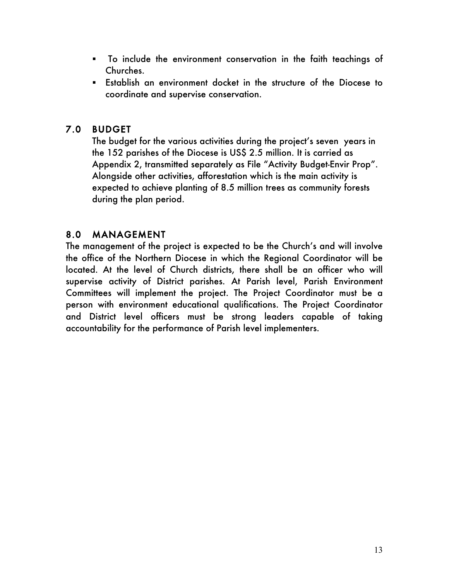- ! To include the environment conservation in the faith teachings of Churches.
- ! Establish an environment docket in the structure of the Diocese to coordinate and supervise conservation.

# 7.0 BUDGET

The budget for the various activities during the project's seven years in the 152 parishes of the Diocese is US\$ 2.5 million. It is carried as Appendix 2, transmitted separately as File "Activity Budget-Envir Prop". Alongside other activities, afforestation which is the main activity is expected to achieve planting of 8.5 million trees as community forests during the plan period.

### 8.0 MANAGEMENT

The management of the project is expected to be the Church's and will involve the office of the Northern Diocese in which the Regional Coordinator will be located. At the level of Church districts, there shall be an officer who will supervise activity of District parishes. At Parish level, Parish Environment Committees will implement the project. The Project Coordinator must be a person with environment educational qualifications. The Project Coordinator and District level officers must be strong leaders capable of taking accountability for the performance of Parish level implementers.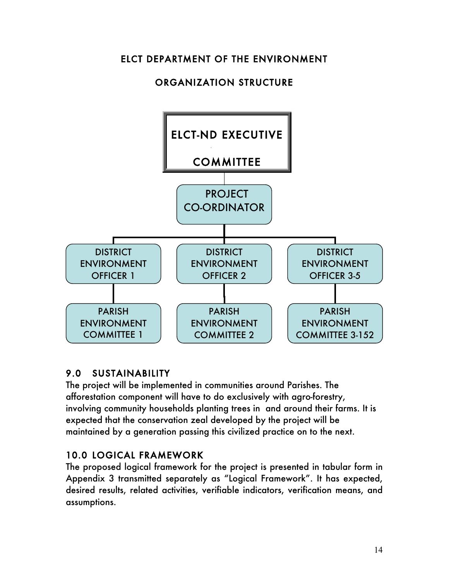# ELCT DEPARTMENT OF THE ENVIRONMENT

# ORGANIZATION STRUCTURE



### 9.0 SUSTAINABILITY

The project will be implemented in communities around Parishes. The afforestation component will have to do exclusively with agro-forestry, involving community households planting trees in and around their farms. It is expected that the conservation zeal developed by the project will be maintained by a generation passing this civilized practice on to the next.

### 10.0 LOGICAL FRAMEWORK

The proposed logical framework for the project is presented in tabular form in Appendix 3 transmitted separately as "Logical Framework". It has expected, desired results, related activities, verifiable indicators, verification means, and assumptions.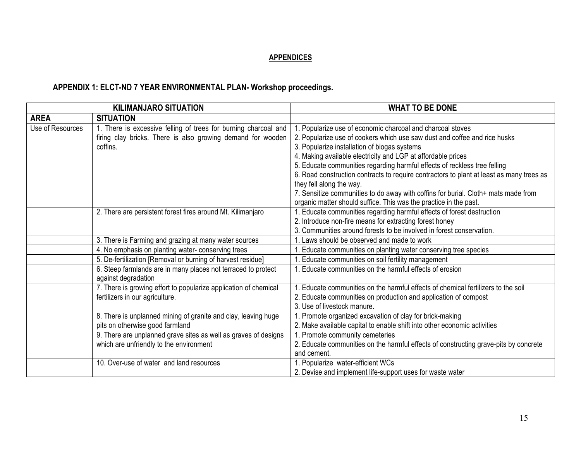#### **APPENDICES**

# **APPENDIX 1: ELCT-ND 7 YEAR ENVIRONMENTAL PLAN- Workshop proceedings.**

|                  | <b>KILIMANJARO SITUATION</b>                                     | <b>WHAT TO BE DONE</b>                                                                   |  |  |  |
|------------------|------------------------------------------------------------------|------------------------------------------------------------------------------------------|--|--|--|
| <b>AREA</b>      | <b>SITUATION</b>                                                 |                                                                                          |  |  |  |
| Use of Resources | 1. There is excessive felling of trees for burning charcoal and  | 1. Popularize use of economic charcoal and charcoal stoves                               |  |  |  |
|                  | firing clay bricks. There is also growing demand for wooden      | 2. Popularize use of cookers which use saw dust and coffee and rice husks                |  |  |  |
|                  | coffins.                                                         | 3. Popularize installation of biogas systems                                             |  |  |  |
|                  |                                                                  | 4. Making available electricity and LGP at affordable prices                             |  |  |  |
|                  |                                                                  | 5. Educate communities regarding harmful effects of reckless tree felling                |  |  |  |
|                  |                                                                  | 6. Road construction contracts to require contractors to plant at least as many trees as |  |  |  |
|                  |                                                                  | they fell along the way.                                                                 |  |  |  |
|                  |                                                                  | 7. Sensitize communities to do away with coffins for burial. Cloth+ mats made from       |  |  |  |
|                  |                                                                  | organic matter should suffice. This was the practice in the past.                        |  |  |  |
|                  | 2. There are persistent forest fires around Mt. Kilimanjaro      | 1. Educate communities regarding harmful effects of forest destruction                   |  |  |  |
|                  |                                                                  | 2. Introduce non-fire means for extracting forest honey                                  |  |  |  |
|                  |                                                                  | 3. Communities around forests to be involved in forest conservation.                     |  |  |  |
|                  | 3. There is Farming and grazing at many water sources            | Laws should be observed and made to work                                                 |  |  |  |
|                  | 4. No emphasis on planting water- conserving trees               | Educate communities on planting water conserving tree species                            |  |  |  |
|                  | 5. De-fertilization [Removal or burning of harvest residue]      | Educate communities on soil fertility management                                         |  |  |  |
|                  | 6. Steep farmlands are in many places not terraced to protect    | Educate communities on the harmful effects of erosion                                    |  |  |  |
|                  | against degradation                                              |                                                                                          |  |  |  |
|                  | 7. There is growing effort to popularize application of chemical | Educate communities on the harmful effects of chemical fertilizers to the soil           |  |  |  |
|                  | fertilizers in our agriculture.                                  | 2. Educate communities on production and application of compost                          |  |  |  |
|                  |                                                                  | 3. Use of livestock manure.                                                              |  |  |  |
|                  | 8. There is unplanned mining of granite and clay, leaving huge   | Promote organized excavation of clay for brick-making                                    |  |  |  |
|                  | pits on otherwise good farmland                                  | 2. Make available capital to enable shift into other economic activities                 |  |  |  |
|                  | 9. There are unplanned grave sites as well as graves of designs  | 1. Promote community cemeteries                                                          |  |  |  |
|                  | which are unfriendly to the environment                          | 2. Educate communities on the harmful effects of constructing grave-pits by concrete     |  |  |  |
|                  |                                                                  | and cement.                                                                              |  |  |  |
|                  | 10. Over-use of water and land resources                         | 1. Popularize water-efficient WCs                                                        |  |  |  |
|                  |                                                                  | 2. Devise and implement life-support uses for waste water                                |  |  |  |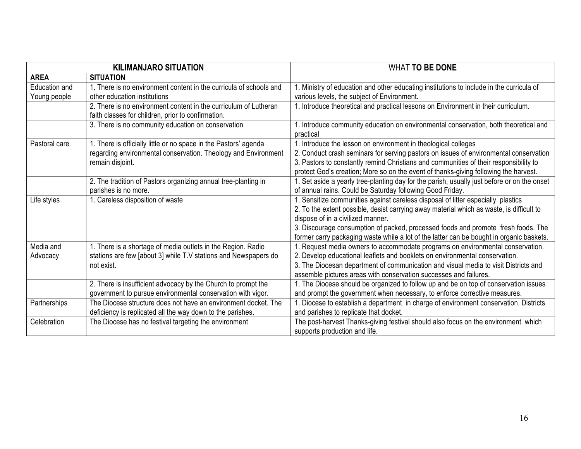|                      | <b>KILIMANJARO SITUATION</b>                                                                                           | <b>WHAT TO BE DONE</b>                                                                                                                                                    |  |  |  |
|----------------------|------------------------------------------------------------------------------------------------------------------------|---------------------------------------------------------------------------------------------------------------------------------------------------------------------------|--|--|--|
| <b>AREA</b>          | <b>SITUATION</b>                                                                                                       |                                                                                                                                                                           |  |  |  |
| <b>Education and</b> | 1. There is no environment content in the curricula of schools and                                                     | 1. Ministry of education and other educating institutions to include in the curricula of                                                                                  |  |  |  |
| Young people         | other education institutions                                                                                           | various levels, the subject of Environment.                                                                                                                               |  |  |  |
|                      | 2. There is no environment content in the curriculum of Lutheran<br>faith classes for children, prior to confirmation. | 1. Introduce theoretical and practical lessons on Environment in their curriculum.                                                                                        |  |  |  |
|                      | 3. There is no community education on conservation                                                                     | 1. Introduce community education on environmental conservation, both theoretical and<br>practical                                                                         |  |  |  |
| Pastoral care        | 1. There is officially little or no space in the Pastors' agenda                                                       | 1. Introduce the lesson on environment in theological colleges                                                                                                            |  |  |  |
|                      | regarding environmental conservation. Theology and Environment                                                         | 2. Conduct crash seminars for serving pastors on issues of environmental conservation                                                                                     |  |  |  |
|                      | remain disjoint.                                                                                                       | 3. Pastors to constantly remind Christians and communities of their responsibility to                                                                                     |  |  |  |
|                      |                                                                                                                        | protect God's creation; More so on the event of thanks-giving following the harvest.                                                                                      |  |  |  |
|                      | 2. The tradition of Pastors organizing annual tree-planting in<br>parishes is no more.                                 | Set aside a yearly tree-planting day for the parish, usually just before or on the onset                                                                                  |  |  |  |
|                      |                                                                                                                        | of annual rains. Could be Saturday following Good Friday.                                                                                                                 |  |  |  |
| Life styles          | 1. Careless disposition of waste                                                                                       | Sensitize communities against careless disposal of litter especially plastics<br>2. To the extent possible, desist carrying away material which as waste, is difficult to |  |  |  |
|                      |                                                                                                                        | dispose of in a civilized manner.                                                                                                                                         |  |  |  |
|                      |                                                                                                                        | 3. Discourage consumption of packed, processed foods and promote fresh foods. The                                                                                         |  |  |  |
|                      |                                                                                                                        | former carry packaging waste while a lot of the latter can be bought in organic baskets.                                                                                  |  |  |  |
| Media and            | 1. There is a shortage of media outlets in the Region. Radio                                                           | Request media owners to accommodate programs on environmental conservation.                                                                                               |  |  |  |
| Advocacy             | stations are few [about 3] while T.V stations and Newspapers do                                                        | 2. Develop educational leaflets and booklets on environmental conservation.                                                                                               |  |  |  |
|                      | not exist.                                                                                                             | 3. The Diocesan department of communication and visual media to visit Districts and                                                                                       |  |  |  |
|                      |                                                                                                                        | assemble pictures areas with conservation successes and failures.                                                                                                         |  |  |  |
|                      | 2. There is insufficient advocacy by the Church to prompt the                                                          | 1. The Diocese should be organized to follow up and be on top of conservation issues                                                                                      |  |  |  |
|                      | government to pursue environmental conservation with vigor.                                                            | and prompt the government when necessary, to enforce corrective measures.                                                                                                 |  |  |  |
| Partnerships         | The Diocese structure does not have an environment docket. The                                                         | 1. Diocese to establish a department in charge of environment conservation. Districts                                                                                     |  |  |  |
|                      | deficiency is replicated all the way down to the parishes.                                                             | and parishes to replicate that docket.                                                                                                                                    |  |  |  |
| Celebration          | The Diocese has no festival targeting the environment                                                                  | The post-harvest Thanks-giving festival should also focus on the environment which                                                                                        |  |  |  |
|                      |                                                                                                                        | supports production and life.                                                                                                                                             |  |  |  |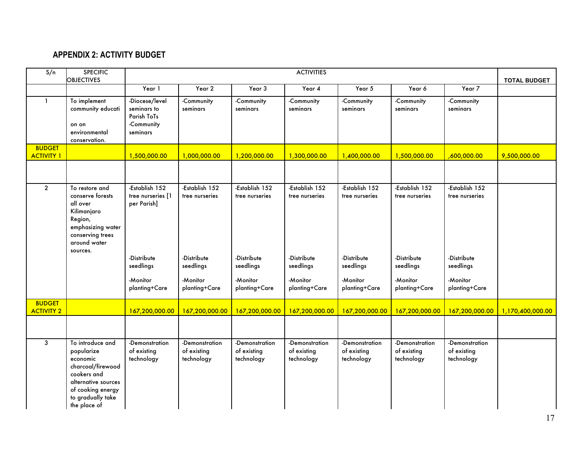#### **APPENDIX 2: ACTIVITY BUDGET**

| S/n                                | <b>SPECIFIC</b><br><b>OBJECTIVES</b>                                                                                                                            | <b>ACTIVITIES</b>                                                      |                                             |                                             |                                             |                                             |                                             |                                             | <b>TOTAL BUDGET</b> |
|------------------------------------|-----------------------------------------------------------------------------------------------------------------------------------------------------------------|------------------------------------------------------------------------|---------------------------------------------|---------------------------------------------|---------------------------------------------|---------------------------------------------|---------------------------------------------|---------------------------------------------|---------------------|
|                                    |                                                                                                                                                                 | Year 1                                                                 | Year 2                                      | Year 3                                      | Year 4                                      | Year 5                                      | Year 6                                      | Year 7                                      |                     |
| $\mathbf{1}$                       | To implement<br>community educati<br>on on<br>environmental<br>conservation.                                                                                    | -Diocese/level<br>seminars to<br>Parish ToTs<br>-Community<br>seminars | -Community<br>seminars                      | -Community<br>seminars                      | -Community<br>seminars                      | -Community<br>seminars                      | -Community<br>seminars                      | -Community<br>seminars                      |                     |
| <b>BUDGET</b><br><b>ACTIVITY 1</b> |                                                                                                                                                                 |                                                                        |                                             |                                             |                                             |                                             |                                             |                                             |                     |
| $\mathbf{2}$                       | To restore and                                                                                                                                                  | 1,500,000.00<br>-Establish 152                                         | 1,000,000.00<br>-Establish 152              | 1,200,000.00<br>-Establish 152              | 1,300,000.00<br>-Establish 152              | 1,400,000.00<br>Establish 152               | 1,500,000.00<br>Establish 152               | ,600,000.00<br>Establish 152                | 9,500,000.00        |
|                                    | conserve forests<br>all over<br>Kilimanjaro<br>Region,<br>emphasizing water<br>conserving trees<br>around water<br>sources.                                     | tree nurseries [1<br>per Parish]                                       | tree nurseries                              | tree nurseries                              | tree nurseries                              | tree nurseries                              | tree nurseries                              | tree nurseries                              |                     |
|                                    |                                                                                                                                                                 | -Distribute<br>seedlings                                               | -Distribute<br>seedlings                    | -Distribute<br>seedlings                    | -Distribute<br>seedlings                    | -Distribute<br>seedlings                    | -Distribute<br>seedlings                    | -Distribute<br>seedlings                    |                     |
|                                    |                                                                                                                                                                 | -Monitor<br>planting+Care                                              | <b>Monitor</b><br>planting+Care             | -Monitor<br>planting+Care                   | -Monitor<br>planting+Care                   | -Monitor<br>planting+Care                   | -Monitor<br>planting+Care                   | -Monitor<br>planting+Care                   |                     |
| <b>BUDGET</b><br><b>ACTIVITY 2</b> |                                                                                                                                                                 | 167,200,000.00                                                         | 167,200,000.00                              | 167,200,000.00                              | 167,200,000.00                              | 167,200,000.00                              | 167,200,000.00                              | 167,200,000.00                              | 1,170,400,000.00    |
|                                    |                                                                                                                                                                 |                                                                        |                                             |                                             |                                             |                                             |                                             |                                             |                     |
| 3                                  | To introduce and<br>popularize<br>economic<br>charcoal/firewood<br>cookers and<br>alternative sources<br>of cooking energy<br>to gradually take<br>the place of | -Demonstration<br>of existing<br>technology                            | -Demonstration<br>of existing<br>technology | -Demonstration<br>of existing<br>technology | -Demonstration<br>of existing<br>technology | -Demonstration<br>of existing<br>technology | -Demonstration<br>of existing<br>technology | -Demonstration<br>of existing<br>technology |                     |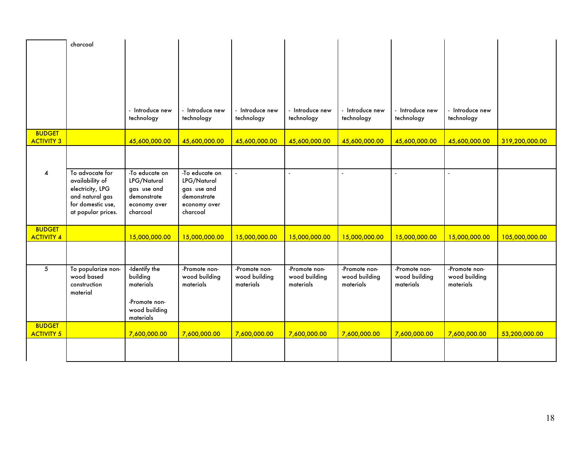|                                    | charcoal                             |                                |                               |                            |                            |                            |                            |                            |                |
|------------------------------------|--------------------------------------|--------------------------------|-------------------------------|----------------------------|----------------------------|----------------------------|----------------------------|----------------------------|----------------|
|                                    |                                      |                                |                               |                            |                            |                            |                            |                            |                |
|                                    |                                      |                                |                               |                            |                            |                            |                            |                            |                |
|                                    |                                      |                                |                               |                            |                            |                            |                            |                            |                |
|                                    |                                      |                                |                               |                            |                            |                            |                            |                            |                |
|                                    |                                      | - Introduce new                | - Introduce new               | - Introduce new            | - Introduce new            | - Introduce new            | - Introduce new            | Introduce new              |                |
|                                    |                                      | technology                     | technology                    | technology                 | technology                 | technology                 | technology                 | technology                 |                |
| <b>BUDGET</b>                      |                                      |                                |                               |                            |                            |                            |                            |                            |                |
| <b>ACTIVITY 3</b>                  |                                      | 45,600,000.00                  | 45,600,000.00                 | 45,600,000.00              | 45,600,000.00              | 45,600,000.00              | 45,600,000.00              | 45,600,000.00              | 319,200,000.00 |
|                                    |                                      |                                |                               |                            |                            |                            |                            |                            |                |
|                                    | To advocate for<br>availability of   | -To educate on<br>LPG/Natural  | -To educate on<br>LPG/Natural |                            | ä,                         | ä,                         | ÷,                         | ä,                         |                |
|                                    | electricity, LPG                     | gas use and                    | gas use and                   |                            |                            |                            |                            |                            |                |
|                                    | and natural gas<br>for domestic use, | demonstrate<br>economy over    | demonstrate<br>economy over   |                            |                            |                            |                            |                            |                |
|                                    | at popular prices.                   | charcoal                       | charcoal                      |                            |                            |                            |                            |                            |                |
| <b>BUDGET</b>                      |                                      |                                |                               |                            |                            |                            |                            |                            |                |
| <b>ACTIVITY 4</b>                  |                                      | 15,000,000.00                  | 15,000,000.00                 | 15,000,000.00              | 15,000,000.00              | 15,000,000.00              | 15,000,000.00              | 15,000,000.00              | 105,000,000.00 |
|                                    |                                      |                                |                               |                            |                            |                            |                            |                            |                |
| 5 <sup>5</sup>                     | To popularize non-                   | -Identify the                  | -Promote non-                 | -Promote non-              | -Promote non-              | -Promote non-              | -Promote non-              | -Promote non-              |                |
|                                    | wood based<br>construction           | building<br>materials          | wood building<br>materials    | wood building<br>materials | wood building<br>materials | wood building<br>materials | wood building<br>materials | wood building<br>materials |                |
|                                    | material                             |                                |                               |                            |                            |                            |                            |                            |                |
|                                    |                                      | -Promote non-<br>wood building |                               |                            |                            |                            |                            |                            |                |
|                                    |                                      | materials                      |                               |                            |                            |                            |                            |                            |                |
| <b>BUDGET</b><br><b>ACTIVITY 5</b> |                                      | 7,600,000.00                   | 7,600,000.00                  | 7,600,000.00               | 7,600,000.00               | 7,600,000.00               | 7,600,000.00               | 7,600,000.00               | 53,200,000.00  |
|                                    |                                      |                                |                               |                            |                            |                            |                            |                            |                |
|                                    |                                      |                                |                               |                            |                            |                            |                            |                            |                |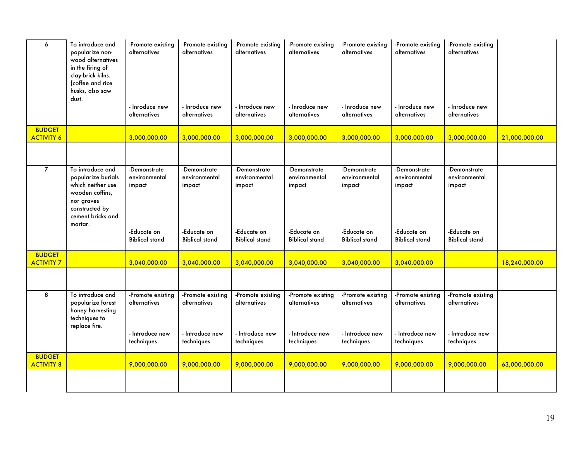| 6                                  | To introduce and<br>popularize non-<br>wood alternatives<br>in the firing of<br>clay-brick kilns.<br>[coffee and rice<br>husks, also saw<br>dust. | Promote existing<br>alternatives<br>- Inroduce new<br>alternatives | -Promote existing<br>alternatives<br>- Inroduce new<br>alternatives | -Promote existing<br>alternatives<br>- Inroduce new<br>alternatives | -Promote existing<br>alternatives<br>- Inroduce new<br>alternatives | -Promote existing<br>alternatives<br>- Inroduce new<br>alternatives | -Promote existing<br>alternatives<br>- Inroduce new<br>alternatives | -Promote existing<br>alternatives<br>- Inroduce new<br>alternatives |               |
|------------------------------------|---------------------------------------------------------------------------------------------------------------------------------------------------|--------------------------------------------------------------------|---------------------------------------------------------------------|---------------------------------------------------------------------|---------------------------------------------------------------------|---------------------------------------------------------------------|---------------------------------------------------------------------|---------------------------------------------------------------------|---------------|
| <b>BUDGET</b>                      |                                                                                                                                                   |                                                                    |                                                                     |                                                                     |                                                                     |                                                                     |                                                                     |                                                                     |               |
| <b>ACTIVITY 6</b>                  |                                                                                                                                                   | 3,000,000.00                                                       | 3,000,000.00                                                        | 3,000,000.00                                                        | 3,000,000.00                                                        | 3,000,000.00                                                        | 3,000,000.00                                                        | 3,000,000.00                                                        | 21,000,000.00 |
|                                    |                                                                                                                                                   |                                                                    |                                                                     |                                                                     |                                                                     |                                                                     |                                                                     |                                                                     |               |
| $\overline{7}$                     | To introduce and<br>popularize burials<br>which neither use<br>wooden coffins,<br>nor graves<br>constructed by<br>cement bricks and<br>mortar.    | -Demonstrate<br>environmental<br>impact                            | -Demonstrate<br>environmental<br>impact                             | -Demonstrate<br>environmental<br>impact                             | -Demonstrate<br>environmental<br>impact                             | -Demonstrate<br>environmental<br>impact                             | -Demonstrate<br>environmental<br>impact                             | -Demonstrate<br>environmental<br>impact                             |               |
|                                    |                                                                                                                                                   | -Educate on<br><b>Biblical stand</b>                               | -Educate on<br><b>Biblical stand</b>                                | -Educate on<br><b>Biblical stand</b>                                | -Educate on<br><b>Biblical stand</b>                                | -Educate on<br><b>Biblical stand</b>                                | -Educate on<br><b>Biblical stand</b>                                | -Educate on<br><b>Biblical stand</b>                                |               |
| <b>BUDGET</b><br><b>ACTIVITY 7</b> |                                                                                                                                                   | 3,040,000.00                                                       | 3,040,000.00                                                        | 3,040,000.00                                                        | 3,040,000.00                                                        | 3,040,000.00                                                        | 3,040,000.00                                                        |                                                                     | 18,240,000.00 |
|                                    |                                                                                                                                                   |                                                                    |                                                                     |                                                                     |                                                                     |                                                                     |                                                                     |                                                                     |               |
| 8                                  | To introduce and<br>popularize forest<br>honey harvesting<br>techniques to<br>replace fire.                                                       | -Promote existing<br>alternatives                                  | -Promote existing<br>alternatives                                   | Promote existing<br>alternatives                                    | -Promote existing<br>alternatives                                   | -Promote existing<br>alternatives                                   | -Promote existing<br>alternatives                                   | -Promote existing<br>alternatives                                   |               |
|                                    |                                                                                                                                                   | - Introduce new<br>techniques                                      | - Introduce new<br>techniques                                       | - Introduce new<br>techniques                                       | - Introduce new<br>techniques                                       | - Introduce new<br>techniques                                       | - Introduce new<br>techniques                                       | - Introduce new<br>techniques                                       |               |
| <b>BUDGET</b><br><b>ACTIVITY 8</b> |                                                                                                                                                   | 9,000,000.00                                                       | 9,000,000.00                                                        | 9,000,000.00                                                        | 9,000,000.00                                                        | 9,000,000.00                                                        | 9,000,000.00                                                        | 9,000,000.00                                                        | 63,000,000.00 |
|                                    |                                                                                                                                                   |                                                                    |                                                                     |                                                                     |                                                                     |                                                                     |                                                                     |                                                                     |               |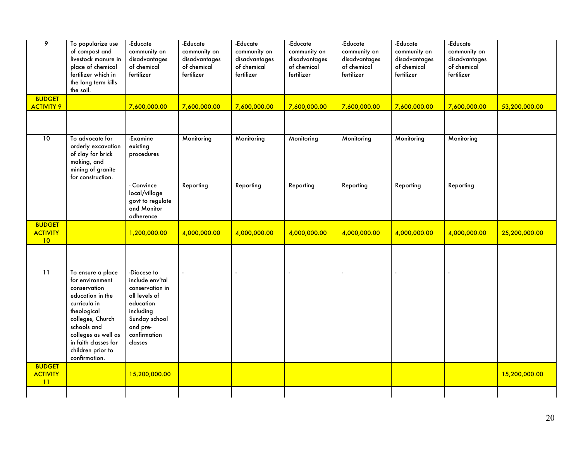| 9                                      | To popularize use<br>of compost and<br>livestock manure in<br>place of chemical<br>fertilizer which in<br>the long term kills<br>the soil.                                                | <b>Educate</b><br>community on<br>disadvantages<br>of chemical<br>fertilizer                                                                         | -Educate<br>community on<br>disadvantages<br>of chemical<br>fertilizer | -Educate<br>community on<br>disadvantages<br>of chemical<br>fertilizer | -Educate<br>community on<br>disadvantages<br>of chemical<br>fertilizer | -Educate<br>community on<br>disadvantages<br>of chemical<br>fertilizer | -Educate<br>community on<br>disadvantages<br>of chemical<br>fertilizer | -Educate<br>community on<br>disadvantages<br>of chemical<br>fertilizer |               |
|----------------------------------------|-------------------------------------------------------------------------------------------------------------------------------------------------------------------------------------------|------------------------------------------------------------------------------------------------------------------------------------------------------|------------------------------------------------------------------------|------------------------------------------------------------------------|------------------------------------------------------------------------|------------------------------------------------------------------------|------------------------------------------------------------------------|------------------------------------------------------------------------|---------------|
| <b>BUDGET</b><br><b>ACTIVITY 9</b>     |                                                                                                                                                                                           | 7,600,000.00                                                                                                                                         | 7,600,000.00                                                           | 7,600,000.00                                                           | 7,600,000.00                                                           | 7,600,000.00                                                           | 7,600,000.00                                                           | 7,600,000.00                                                           | 53,200,000.00 |
|                                        |                                                                                                                                                                                           |                                                                                                                                                      |                                                                        |                                                                        |                                                                        |                                                                        |                                                                        |                                                                        |               |
| 10                                     | To advocate for<br>orderly excavation<br>of clay for brick<br>making, and<br>mining of granite<br>for construction.                                                                       | -Examine<br>existing<br>procedures<br>Convince<br>local/village<br>govt to regulate<br>and Monitor<br>adherence                                      | Monitoring<br>Reporting                                                | Monitoring<br>Reporting                                                | Monitoring<br>Reporting                                                | Monitoring<br>Reporting                                                | Monitoring<br>Reporting                                                | Monitoring<br>Reporting                                                |               |
| <b>BUDGET</b><br><b>ACTIVITY</b><br>10 |                                                                                                                                                                                           | 1,200,000.00                                                                                                                                         | 4,000,000.00                                                           | 4,000,000.00                                                           | 4,000,000.00                                                           | 4,000,000.00                                                           | 4,000,000.00                                                           | 4,000,000.00                                                           | 25,200,000.00 |
|                                        |                                                                                                                                                                                           |                                                                                                                                                      |                                                                        |                                                                        |                                                                        |                                                                        |                                                                        |                                                                        |               |
| 11                                     | To ensure a place<br>for environment<br>conservation<br>education in the<br>curricula in<br>theological<br>colleges, Church<br>schools and<br>colleges as well as<br>in faith classes for | -Diocese to<br>include env'tal<br>conservation in<br>all levels of<br>education<br>including<br>Sunday school<br>and pre-<br>confirmation<br>classes | $\mathbf{r}$                                                           | $\sim$                                                                 | L.                                                                     | $\ddot{\phantom{a}}$                                                   | ä,                                                                     | $\ddot{\phantom{a}}$                                                   |               |
|                                        | children prior to<br>confirmation.                                                                                                                                                        |                                                                                                                                                      |                                                                        |                                                                        |                                                                        |                                                                        |                                                                        |                                                                        |               |
| <b>BUDGET</b><br><b>ACTIVITY</b><br>11 |                                                                                                                                                                                           | 15,200,000.00                                                                                                                                        |                                                                        |                                                                        |                                                                        |                                                                        |                                                                        |                                                                        | 15,200,000.00 |